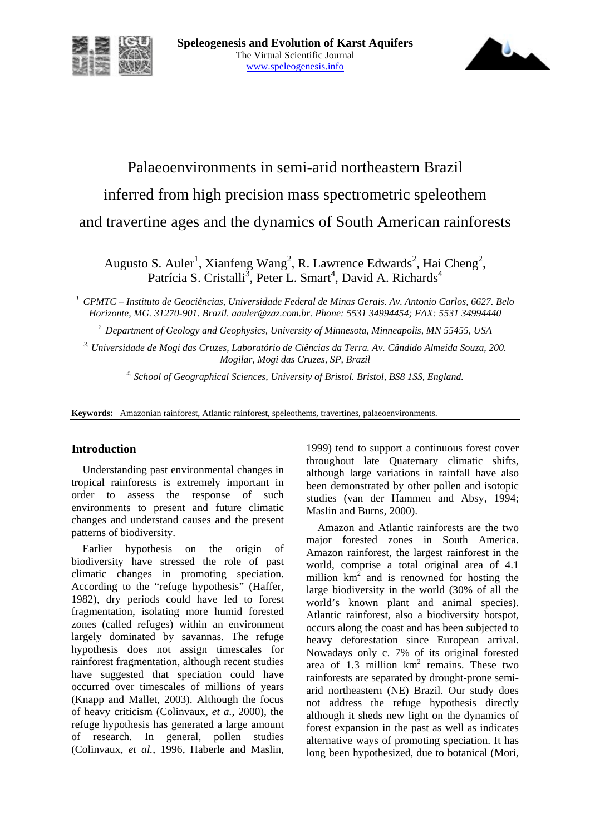



# Palaeoenvironments in semi-arid northeastern Brazil inferred from high precision mass spectrometric speleothem and travertine ages and the dynamics of South American rainforests

Augusto S. Auler<sup>1</sup>, Xianfeng Wang<sup>2</sup>, R. Lawrence Edwards<sup>2</sup>, Hai Cheng<sup>2</sup>, Patrícia S. Cristalli<sup>3</sup>, Peter L. Smart<sup>4</sup>, David A. Richards<sup>4</sup>

*1. CPMTC – Instituto de Geociências, Universidade Federal de Minas Gerais. Av. Antonio Carlos, 6627. Belo Horizonte, MG. 31270-901. Brazil. aauler@zaz.com.br. Phone: 5531 34994454; FAX: 5531 34994440* 

*2. Department of Geology and Geophysics, University of Minnesota, Minneapolis, MN 55455, USA* 

*3. Universidade de Mogi das Cruzes, Laboratório de Ciências da Terra. Av. Cândido Almeida Souza, 200. Mogilar, Mogi das Cruzes, SP, Brazil* 

*4. School of Geographical Sciences, University of Bristol. Bristol, BS8 1SS, England.* 

**Keywords:** Amazonian rainforest, Atlantic rainforest, speleothems, travertines, palaeoenvironments.

## **Introduction**

Understanding past environmental changes in tropical rainforests is extremely important in order to assess the response of such environments to present and future climatic changes and understand causes and the present patterns of biodiversity.

Earlier hypothesis on the origin of biodiversity have stressed the role of past climatic changes in promoting speciation. According to the "refuge hypothesis" (Haffer, 1982), dry periods could have led to forest fragmentation, isolating more humid forested zones (called refuges) within an environment largely dominated by savannas. The refuge hypothesis does not assign timescales for rainforest fragmentation, although recent studies have suggested that speciation could have occurred over timescales of millions of years (Knapp and Mallet, 2003). Although the focus of heavy criticism (Colinvaux, *et a.*, 2000), the refuge hypothesis has generated a large amount of research. In general, pollen studies (Colinvaux, *et al.*, 1996, Haberle and Maslin,

1999) tend to support a continuous forest cover throughout late Quaternary climatic shifts, although large variations in rainfall have also been demonstrated by other pollen and isotopic studies (van der Hammen and Absy, 1994; Maslin and Burns, 2000).

Amazon and Atlantic rainforests are the two major forested zones in South America. Amazon rainforest, the largest rainforest in the world, comprise a total original area of 4.1 million  $km^2$  and is renowned for hosting the large biodiversity in the world (30% of all the world's known plant and animal species). Atlantic rainforest, also a biodiversity hotspot, occurs along the coast and has been subjected to heavy deforestation since European arrival. Nowadays only c. 7% of its original forested area of  $1.3$  million  $km^2$  remains. These two rainforests are separated by drought-prone semiarid northeastern (NE) Brazil. Our study does not address the refuge hypothesis directly although it sheds new light on the dynamics of forest expansion in the past as well as indicates alternative ways of promoting speciation. It has long been hypothesized, due to botanical (Mori,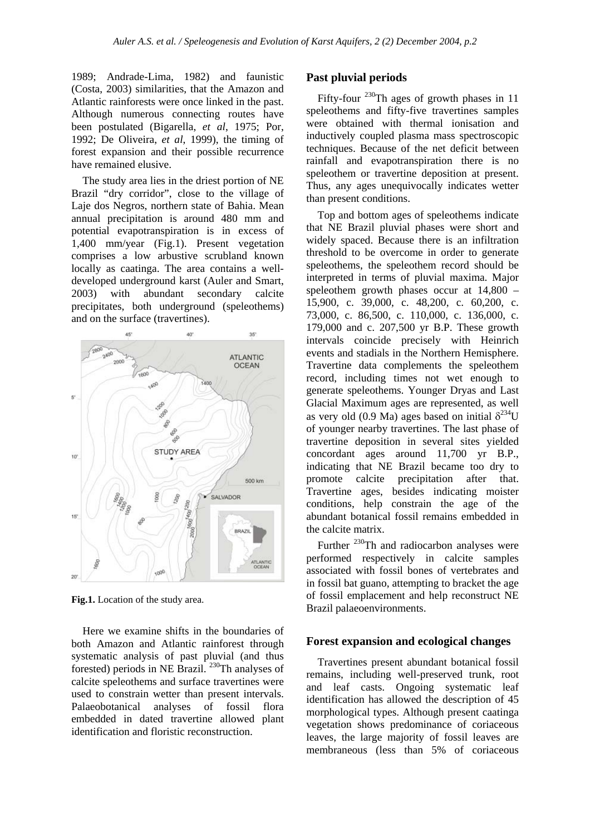1989; Andrade-Lima, 1982) and faunistic (Costa, 2003) similarities, that the Amazon and Atlantic rainforests were once linked in the past. Although numerous connecting routes have been postulated (Bigarella, *et al*, 1975; Por, 1992; De Oliveira, *et al*, 1999), the timing of forest expansion and their possible recurrence have remained elusive.

The study area lies in the driest portion of NE Brazil "dry corridor", close to the village of Laje dos Negros, northern state of Bahia. Mean annual precipitation is around 480 mm and potential evapotranspiration is in excess of 1,400 mm/year (Fig.1). Present vegetation comprises a low arbustive scrubland known locally as caatinga. The area contains a welldeveloped underground karst (Auler and Smart, 2003) with abundant secondary calcite precipitates, both underground (speleothems) and on the surface (travertines).



**Fig.1.** Location of the study area.

Here we examine shifts in the boundaries of both Amazon and Atlantic rainforest through systematic analysis of past pluvial (and thus forested) periods in NE Brazil. 230Th analyses of calcite speleothems and surface travertines were used to constrain wetter than present intervals. Palaeobotanical analyses of fossil flora embedded in dated travertine allowed plant identification and floristic reconstruction.

### **Past pluvial periods**

Fifty-four  $^{230}$ Th ages of growth phases in 11 speleothems and fifty-five travertines samples were obtained with thermal ionisation and inductively coupled plasma mass spectroscopic techniques. Because of the net deficit between rainfall and evapotranspiration there is no speleothem or travertine deposition at present. Thus, any ages unequivocally indicates wetter than present conditions.

Top and bottom ages of speleothems indicate that NE Brazil pluvial phases were short and widely spaced. Because there is an infiltration threshold to be overcome in order to generate speleothems, the speleothem record should be interpreted in terms of pluvial maxima. Major speleothem growth phases occur at 14,800 – 15,900, c. 39,000, c. 48,200, c. 60,200, c. 73,000, c. 86,500, c. 110,000, c. 136,000, c. 179,000 and c. 207,500 yr B.P. These growth intervals coincide precisely with Heinrich events and stadials in the Northern Hemisphere. Travertine data complements the speleothem record, including times not wet enough to generate speleothems. Younger Dryas and Last Glacial Maximum ages are represented, as well as very old (0.9 Ma) ages based on initial  $\delta^{234}U$ of younger nearby travertines. The last phase of travertine deposition in several sites yielded concordant ages around 11,700 yr B.P., indicating that NE Brazil became too dry to promote calcite precipitation after that. Travertine ages, besides indicating moister conditions, help constrain the age of the abundant botanical fossil remains embedded in the calcite matrix.

Further <sup>230</sup>Th and radiocarbon analyses were performed respectively in calcite samples associated with fossil bones of vertebrates and in fossil bat guano, attempting to bracket the age of fossil emplacement and help reconstruct NE Brazil palaeoenvironments.

#### **Forest expansion and ecological changes**

Travertines present abundant botanical fossil remains, including well-preserved trunk, root and leaf casts. Ongoing systematic leaf identification has allowed the description of 45 morphological types. Although present caatinga vegetation shows predominance of coriaceous leaves, the large majority of fossil leaves are membraneous (less than 5% of coriaceous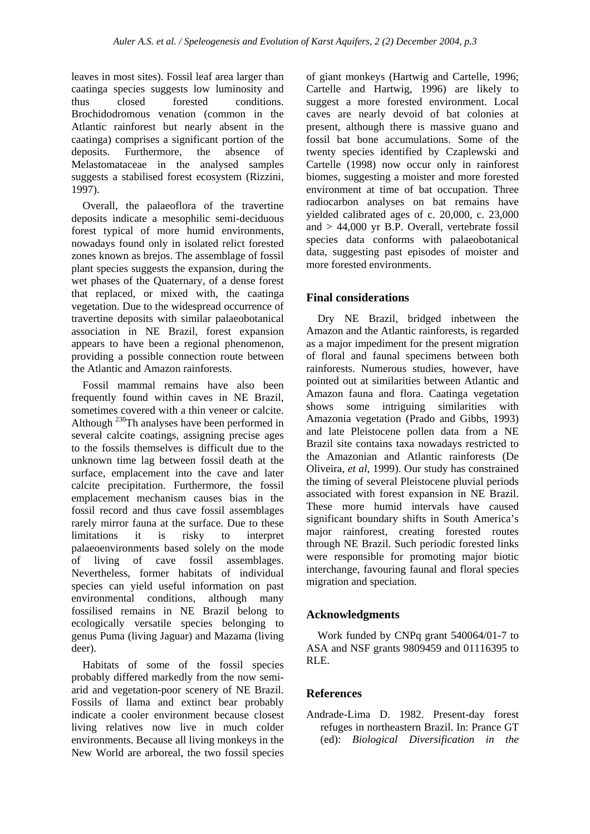leaves in most sites). Fossil leaf area larger than caatinga species suggests low luminosity and thus closed forested conditions. Brochidodromous venation (common in the Atlantic rainforest but nearly absent in the caatinga) comprises a significant portion of the deposits. Furthermore, the absence of Melastomataceae in the analysed samples suggests a stabilised forest ecosystem (Rizzini, 1997).

Overall, the palaeoflora of the travertine deposits indicate a mesophilic semi-deciduous forest typical of more humid environments, nowadays found only in isolated relict forested zones known as brejos. The assemblage of fossil plant species suggests the expansion, during the wet phases of the Quaternary, of a dense forest that replaced, or mixed with, the caatinga vegetation. Due to the widespread occurrence of travertine deposits with similar palaeobotanical association in NE Brazil, forest expansion appears to have been a regional phenomenon, providing a possible connection route between the Atlantic and Amazon rainforests.

Fossil mammal remains have also been frequently found within caves in NE Brazil, sometimes covered with a thin veneer or calcite. Although <sup>230</sup>Th analyses have been performed in several calcite coatings, assigning precise ages to the fossils themselves is difficult due to the unknown time lag between fossil death at the surface, emplacement into the cave and later calcite precipitation. Furthermore, the fossil emplacement mechanism causes bias in the fossil record and thus cave fossil assemblages rarely mirror fauna at the surface. Due to these limitations it is risky to interpret palaeoenvironments based solely on the mode of living of cave fossil assemblages. Nevertheless, former habitats of individual species can yield useful information on past environmental conditions, although many fossilised remains in NE Brazil belong to ecologically versatile species belonging to genus Puma (living Jaguar) and Mazama (living deer).

Habitats of some of the fossil species probably differed markedly from the now semiarid and vegetation-poor scenery of NE Brazil. Fossils of llama and extinct bear probably indicate a cooler environment because closest living relatives now live in much colder environments. Because all living monkeys in the New World are arboreal, the two fossil species

of giant monkeys (Hartwig and Cartelle, 1996; Cartelle and Hartwig, 1996) are likely to suggest a more forested environment. Local caves are nearly devoid of bat colonies at present, although there is massive guano and fossil bat bone accumulations. Some of the twenty species identified by Czaplewski and Cartelle (1998) now occur only in rainforest biomes, suggesting a moister and more forested environment at time of bat occupation. Three radiocarbon analyses on bat remains have yielded calibrated ages of c. 20,000, c. 23,000 and  $> 44,000$  yr B.P. Overall, vertebrate fossil species data conforms with palaeobotanical data, suggesting past episodes of moister and more forested environments.

# **Final considerations**

Dry NE Brazil, bridged inbetween the Amazon and the Atlantic rainforests, is regarded as a major impediment for the present migration of floral and faunal specimens between both rainforests. Numerous studies, however, have pointed out at similarities between Atlantic and Amazon fauna and flora. Caatinga vegetation shows some intriguing similarities with Amazonia vegetation (Prado and Gibbs, 1993) and late Pleistocene pollen data from a NE Brazil site contains taxa nowadays restricted to the Amazonian and Atlantic rainforests (De Oliveira, *et al*, 1999). Our study has constrained the timing of several Pleistocene pluvial periods associated with forest expansion in NE Brazil. These more humid intervals have caused significant boundary shifts in South America's major rainforest, creating forested routes through NE Brazil. Such periodic forested links were responsible for promoting major biotic interchange, favouring faunal and floral species migration and speciation.

## **Acknowledgments**

Work funded by CNPq grant 540064/01-7 to ASA and NSF grants 9809459 and 01116395 to RLE.

## **References**

Andrade-Lima D. 1982. Present-day forest refuges in northeastern Brazil. In: Prance GT (ed): *Biological Diversification in the*